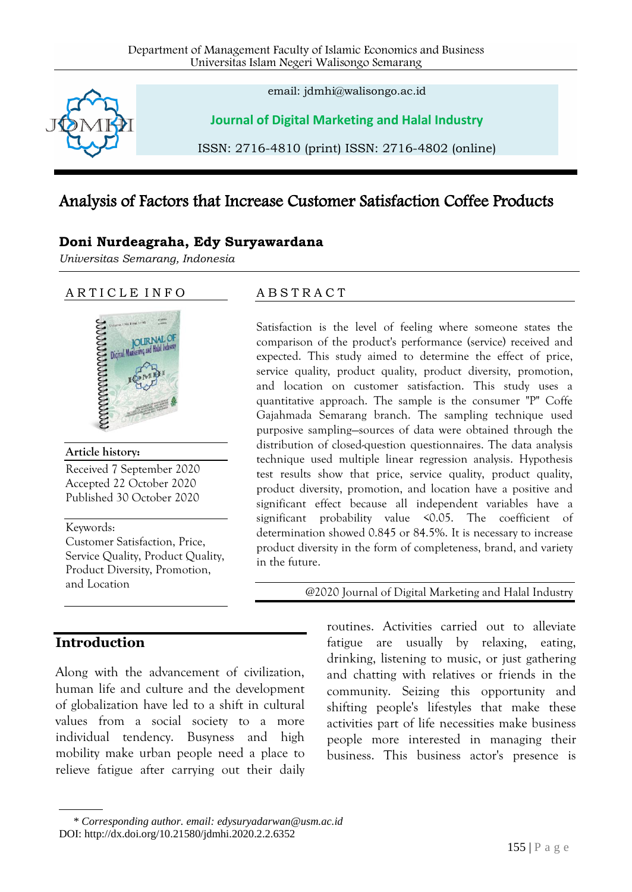

email: jdmhi@walisongo.ac.id

**Journal of Digital Marketing and Halal Industry**

ISSN: 2716-4810 (print) ISSN: 2716-4802 (online)

# Analysis of Factors that Increase Customer Satisfaction Coffee Products

#### **Doni Nurdeagraha, Edy Suryawardana**

*Universitas Semarang, Indonesia* 

#### ARTICLE INFO



#### **Article history:**

Received 7 September 2020 Accepted 22 October 2020 Published 30 October 2020

Keywords:

Customer Satisfaction, Price, Service Quality, Product Quality, Product Diversity, Promotion, and Location

## **Introduction**

Along with the advancement of civilization, human life and culture and the development of globalization have led to a shift in cultural values from a social society to a more individual tendency. Busyness and high mobility make urban people need a place to relieve fatigue after carrying out their daily

#### A B S T R A C T

Satisfaction is the level of feeling where someone states the comparison of the product's performance (service) received and expected. This study aimed to determine the effect of price, service quality, product quality, product diversity, promotion, and location on customer satisfaction. This study uses a quantitative approach. The sample is the consumer "P" Coffe Gajahmada Semarang branch. The sampling technique used purposive sampling—sources of data were obtained through the distribution of closed-question questionnaires. The data analysis technique used multiple linear regression analysis. Hypothesis test results show that price, service quality, product quality, product diversity, promotion, and location have a positive and significant effect because all independent variables have a significant probability value <0.05. The coefficient of determination showed 0.845 or 84.5%. It is necessary to increase product diversity in the form of completeness, brand, and variety in the future.

@2020 Journal of Digital Marketing and Halal Industry

routines. Activities carried out to alleviate fatigue are usually by relaxing, eating, drinking, listening to music, or just gathering and chatting with relatives or friends in the community. Seizing this opportunity and shifting people's lifestyles that make these activities part of life necessities make business people more interested in managing their business. This business actor's presence is

<sup>\*</sup> *Corresponding author. email: edysuryadarwan@usm.ac.id* DOI: http://dx.doi.org/10.21580/jdmhi.2020.2.2.6352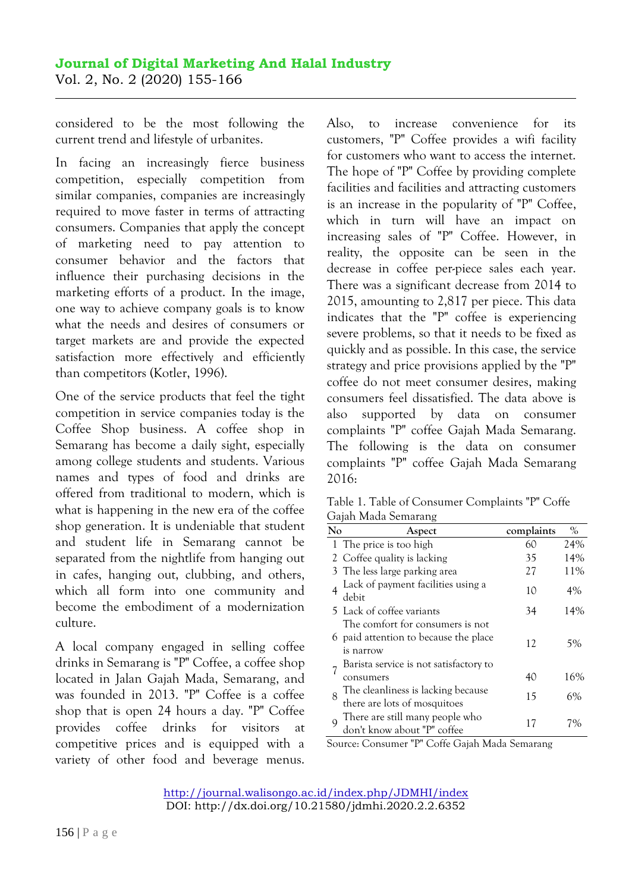considered to be the most following the current trend and lifestyle of urbanites.

In facing an increasingly fierce business competition, especially competition from similar companies, companies are increasingly required to move faster in terms of attracting consumers. Companies that apply the concept of marketing need to pay attention to consumer behavior and the factors that influence their purchasing decisions in the marketing efforts of a product. In the image, one way to achieve company goals is to know what the needs and desires of consumers or target markets are and provide the expected satisfaction more effectively and efficiently than competitors (Kotler, 1996).

One of the service products that feel the tight competition in service companies today is the Coffee Shop business. A coffee shop in Semarang has become a daily sight, especially among college students and students. Various names and types of food and drinks are offered from traditional to modern, which is what is happening in the new era of the coffee shop generation. It is undeniable that student and student life in Semarang cannot be separated from the nightlife from hanging out in cafes, hanging out, clubbing, and others, which all form into one community and become the embodiment of a modernization culture.

A local company engaged in selling coffee drinks in Semarang is "P" Coffee, a coffee shop located in Jalan Gajah Mada, Semarang, and was founded in 2013. "P" Coffee is a coffee shop that is open 24 hours a day. "P" Coffee provides coffee drinks for visitors at competitive prices and is equipped with a variety of other food and beverage menus.

Also, to increase convenience for its customers, "P" Coffee provides a wifi facility for customers who want to access the internet. The hope of "P" Coffee by providing complete facilities and facilities and attracting customers is an increase in the popularity of "P" Coffee, which in turn will have an impact on increasing sales of "P" Coffee. However, in reality, the opposite can be seen in the decrease in coffee per-piece sales each year. There was a significant decrease from 2014 to 2015, amounting to 2,817 per piece. This data indicates that the "P" coffee is experiencing severe problems, so that it needs to be fixed as quickly and as possible. In this case, the service strategy and price provisions applied by the "P" coffee do not meet consumer desires, making consumers feel dissatisfied. The data above is also supported by data on consumer complaints "P" coffee Gajah Mada Semarang. The following is the data on consumer complaints "P" coffee Gajah Mada Semarang 2016:

| Table 1. Table of Consumer Complaints "P" Coffe |  |
|-------------------------------------------------|--|
| Gajah Mada Semarang                             |  |

| No | Aspect                                                             | complaints | $\%$ |
|----|--------------------------------------------------------------------|------------|------|
|    | 1 The price is too high                                            | 60         | 24%  |
|    | 2 Coffee quality is lacking                                        | 35         | 14%  |
|    | 3 The less large parking area                                      | 27         | 11%  |
|    | Lack of payment facilities using a<br>debit                        | 10         | 4%   |
|    | 5 Lack of coffee variants                                          | 34         | 14%  |
|    | The comfort for consumers is not                                   |            |      |
|    | 6 paid attention to because the place<br>is narrow                 | 12         | 5%   |
|    | Barista service is not satisfactory to                             |            |      |
|    | consumers                                                          | 40         | 16%  |
| 8  | The cleanliness is lacking because<br>there are lots of mosquitoes | 15         | 6%   |
| Q  | There are still many people who<br>don't know about "P" coffee     | 17         | 7%   |

Source: Consumer "P" Coffe Gajah Mada Semarang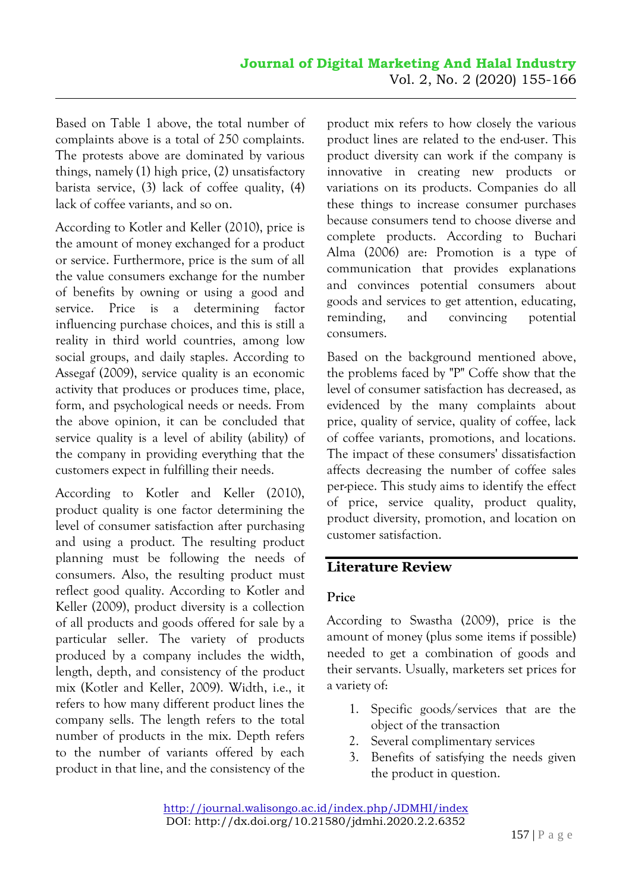Based on Table 1 above, the total number of complaints above is a total of 250 complaints. The protests above are dominated by various things, namely (1) high price, (2) unsatisfactory barista service, (3) lack of coffee quality, (4) lack of coffee variants, and so on.

According to Kotler and Keller (2010), price is the amount of money exchanged for a product or service. Furthermore, price is the sum of all the value consumers exchange for the number of benefits by owning or using a good and service. Price is a determining factor influencing purchase choices, and this is still a reality in third world countries, among low social groups, and daily staples. According to Assegaf (2009), service quality is an economic activity that produces or produces time, place, form, and psychological needs or needs. From the above opinion, it can be concluded that service quality is a level of ability (ability) of the company in providing everything that the customers expect in fulfilling their needs.

According to Kotler and Keller (2010), product quality is one factor determining the level of consumer satisfaction after purchasing and using a product. The resulting product planning must be following the needs of consumers. Also, the resulting product must reflect good quality. According to Kotler and Keller (2009), product diversity is a collection of all products and goods offered for sale by a particular seller. The variety of products produced by a company includes the width, length, depth, and consistency of the product mix (Kotler and Keller, 2009). Width, i.e., it refers to how many different product lines the company sells. The length refers to the total number of products in the mix. Depth refers to the number of variants offered by each product in that line, and the consistency of the

product mix refers to how closely the various product lines are related to the end-user. This product diversity can work if the company is innovative in creating new products or variations on its products. Companies do all these things to increase consumer purchases because consumers tend to choose diverse and complete products. According to Buchari Alma (2006) are: Promotion is a type of communication that provides explanations and convinces potential consumers about goods and services to get attention, educating, reminding, and convincing potential consumers.

Based on the background mentioned above, the problems faced by "P" Coffe show that the level of consumer satisfaction has decreased, as evidenced by the many complaints about price, quality of service, quality of coffee, lack of coffee variants, promotions, and locations. The impact of these consumers' dissatisfaction affects decreasing the number of coffee sales per-piece. This study aims to identify the effect of price, service quality, product quality, product diversity, promotion, and location on customer satisfaction.

## **Literature Review**

### **Price**

According to Swastha (2009), price is the amount of money (plus some items if possible) needed to get a combination of goods and their servants. Usually, marketers set prices for a variety of:

- 1. Specific goods/services that are the object of the transaction
- 2. Several complimentary services
- 3. Benefits of satisfying the needs given the product in question.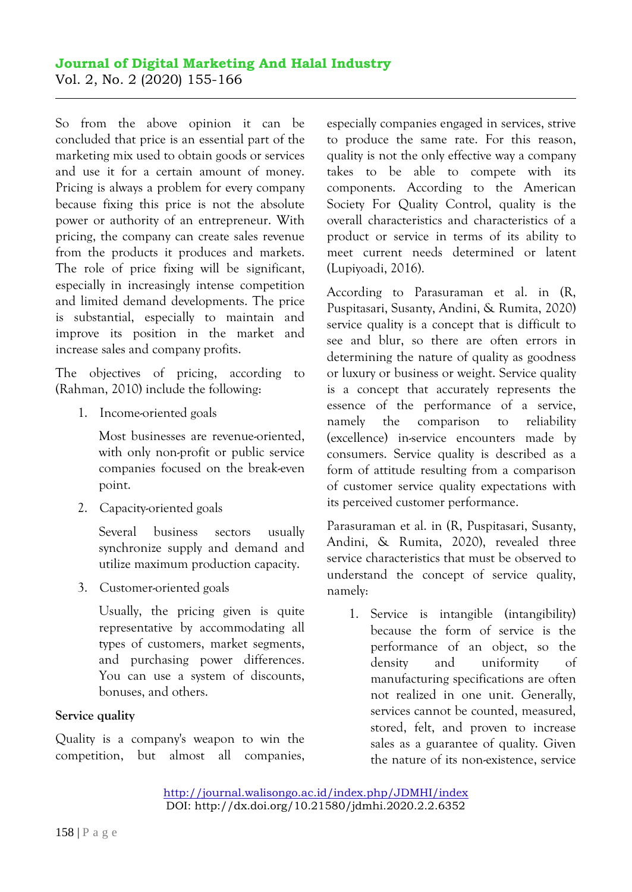#### **Journal of Digital Marketing And Halal Industry**  Vol. 2, No. 2 (2020) 155-166

So from the above opinion it can be concluded that price is an essential part of the marketing mix used to obtain goods or services and use it for a certain amount of money. Pricing is always a problem for every company because fixing this price is not the absolute power or authority of an entrepreneur. With pricing, the company can create sales revenue from the products it produces and markets. The role of price fixing will be significant, especially in increasingly intense competition and limited demand developments. The price is substantial, especially to maintain and improve its position in the market and increase sales and company profits.

The objectives of pricing, according to (Rahman, 2010) include the following:

1. Income-oriented goals

Most businesses are revenue-oriented, with only non-profit or public service companies focused on the break-even point.

2. Capacity-oriented goals

Several business sectors usually synchronize supply and demand and utilize maximum production capacity.

3. Customer-oriented goals

Usually, the pricing given is quite representative by accommodating all types of customers, market segments, and purchasing power differences. You can use a system of discounts, bonuses, and others.

### **Service quality**

Quality is a company's weapon to win the competition, but almost all companies, especially companies engaged in services, strive to produce the same rate. For this reason, quality is not the only effective way a company takes to be able to compete with its components. According to the American Society For Quality Control, quality is the overall characteristics and characteristics of a product or service in terms of its ability to meet current needs determined or latent (Lupiyoadi, 2016).

According to Parasuraman et al. in (R, Puspitasari, Susanty, Andini, & Rumita, 2020) service quality is a concept that is difficult to see and blur, so there are often errors in determining the nature of quality as goodness or luxury or business or weight. Service quality is a concept that accurately represents the essence of the performance of a service, namely the comparison to reliability (excellence) in-service encounters made by consumers. Service quality is described as a form of attitude resulting from a comparison of customer service quality expectations with its perceived customer performance.

Parasuraman et al. in (R, Puspitasari, Susanty, Andini, & Rumita, 2020), revealed three service characteristics that must be observed to understand the concept of service quality, namely:

1. Service is intangible (intangibility) because the form of service is the performance of an object, so the density and uniformity of manufacturing specifications are often not realized in one unit. Generally, services cannot be counted, measured, stored, felt, and proven to increase sales as a guarantee of quality. Given the nature of its non-existence, service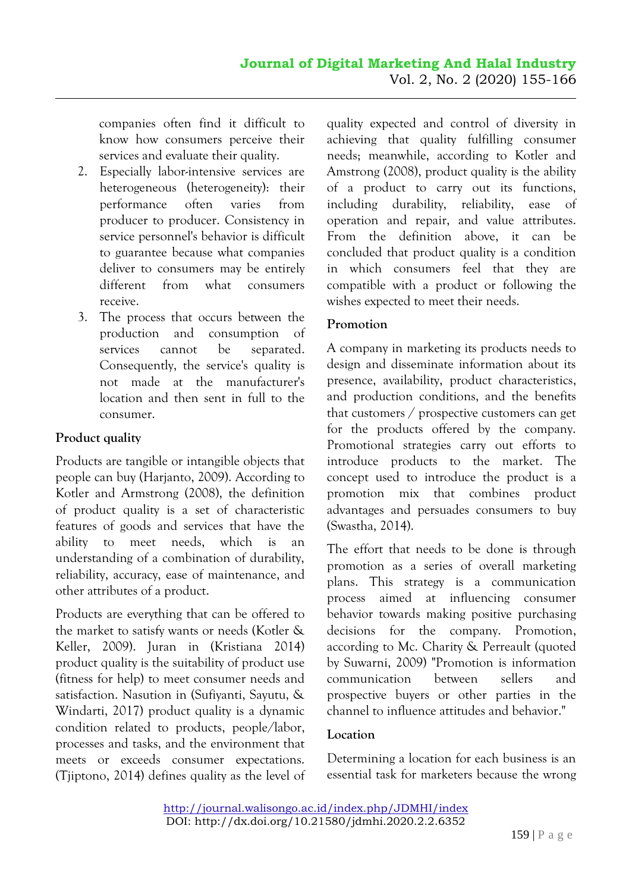companies often find it difficult to know how consumers perceive their services and evaluate their quality.

- 2. Especially labor-intensive services are heterogeneous (heterogeneity): their performance often varies from producer to producer. Consistency in service personnel's behavior is difficult to guarantee because what companies deliver to consumers may be entirely different from what consumers receive.
- 3. The process that occurs between the production and consumption of services cannot be separated. Consequently, the service's quality is not made at the manufacturer's location and then sent in full to the consumer.

### **Product quality**

Products are tangible or intangible objects that people can buy (Harjanto, 2009). According to Kotler and Armstrong (2008), the definition of product quality is a set of characteristic features of goods and services that have the ability to meet needs, which is an understanding of a combination of durability, reliability, accuracy, ease of maintenance, and other attributes of a product.

Products are everything that can be offered to the market to satisfy wants or needs (Kotler & Keller, 2009). Juran in (Kristiana 2014) product quality is the suitability of product use (fitness for help) to meet consumer needs and satisfaction. Nasution in (Sufiyanti, Sayutu, & Windarti, 2017) product quality is a dynamic condition related to products, people/labor, processes and tasks, and the environment that meets or exceeds consumer expectations. (Tjiptono, 2014) defines quality as the level of quality expected and control of diversity in achieving that quality fulfilling consumer needs; meanwhile, according to Kotler and Amstrong (2008), product quality is the ability of a product to carry out its functions, including durability, reliability, ease of operation and repair, and value attributes. From the definition above, it can be concluded that product quality is a condition in which consumers feel that they are compatible with a product or following the wishes expected to meet their needs.

### **Promotion**

A company in marketing its products needs to design and disseminate information about its presence, availability, product characteristics, and production conditions, and the benefits that customers / prospective customers can get for the products offered by the company. Promotional strategies carry out efforts to introduce products to the market. The concept used to introduce the product is a promotion mix that combines product advantages and persuades consumers to buy (Swastha, 2014).

The effort that needs to be done is through promotion as a series of overall marketing plans. This strategy is a communication process aimed at influencing consumer behavior towards making positive purchasing decisions for the company. Promotion, according to Mc. Charity & Perreault (quoted by Suwarni, 2009) "Promotion is information communication between sellers and prospective buyers or other parties in the channel to influence attitudes and behavior."

### **Location**

Determining a location for each business is an essential task for marketers because the wrong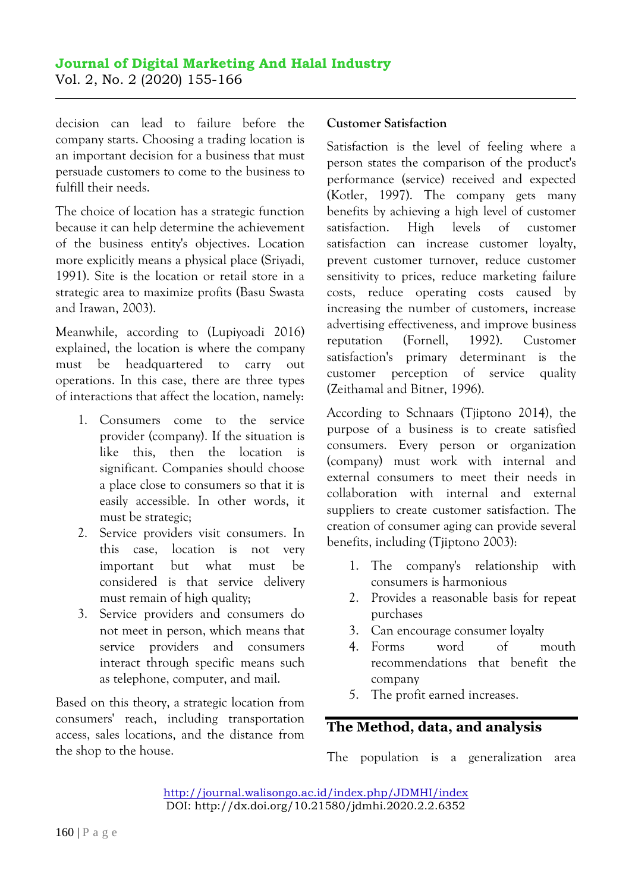decision can lead to failure before the company starts. Choosing a trading location is an important decision for a business that must persuade customers to come to the business to fulfill their needs.

The choice of location has a strategic function because it can help determine the achievement of the business entity's objectives. Location more explicitly means a physical place (Sriyadi, 1991). Site is the location or retail store in a strategic area to maximize profits (Basu Swasta and Irawan, 2003).

Meanwhile, according to (Lupiyoadi 2016) explained, the location is where the company must be headquartered to carry out operations. In this case, there are three types of interactions that affect the location, namely:

- 1. Consumers come to the service provider (company). If the situation is like this, then the location is significant. Companies should choose a place close to consumers so that it is easily accessible. In other words, it must be strategic;
- 2. Service providers visit consumers. In this case, location is not very important but what must be considered is that service delivery must remain of high quality;
- 3. Service providers and consumers do not meet in person, which means that service providers and consumers interact through specific means such as telephone, computer, and mail.

Based on this theory, a strategic location from consumers' reach, including transportation access, sales locations, and the distance from the shop to the house.

### **Customer Satisfaction**

Satisfaction is the level of feeling where a person states the comparison of the product's performance (service) received and expected (Kotler, 1997). The company gets many benefits by achieving a high level of customer satisfaction. High levels of customer satisfaction can increase customer loyalty, prevent customer turnover, reduce customer sensitivity to prices, reduce marketing failure costs, reduce operating costs caused by increasing the number of customers, increase advertising effectiveness, and improve business reputation (Fornell, 1992). Customer satisfaction's primary determinant is the customer perception of service quality (Zeithamal and Bitner, 1996).

According to Schnaars (Tjiptono 2014), the purpose of a business is to create satisfied consumers. Every person or organization (company) must work with internal and external consumers to meet their needs in collaboration with internal and external suppliers to create customer satisfaction. The creation of consumer aging can provide several benefits, including (Tjiptono 2003):

- 1. The company's relationship with consumers is harmonious
- 2. Provides a reasonable basis for repeat purchases
- 3. Can encourage consumer loyalty
- 4. Forms word of mouth recommendations that benefit the company
- 5. The profit earned increases.

## **The Method, data, and analysis**

The population is a generalization area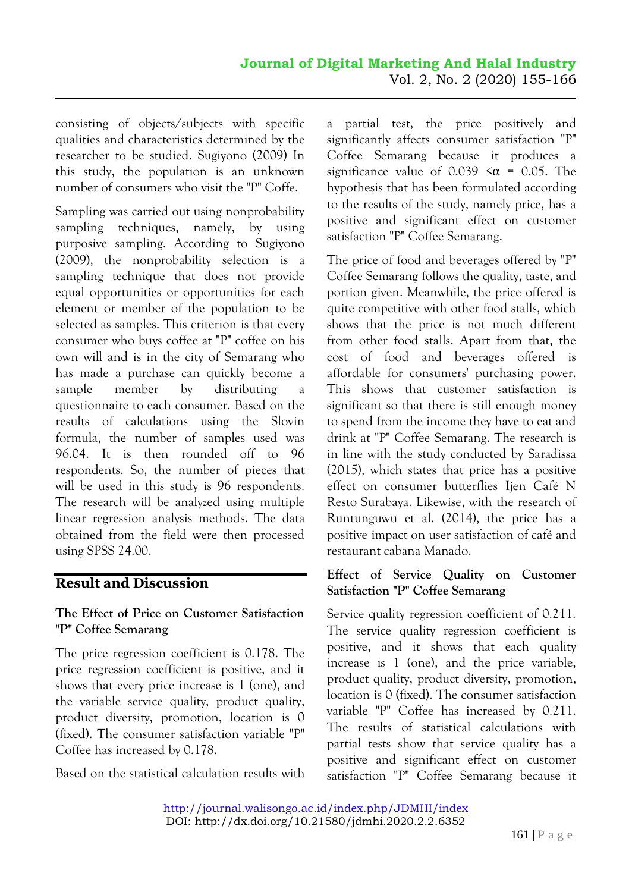consisting of objects/subjects with specific qualities and characteristics determined by the researcher to be studied. Sugiyono (2009) In this study, the population is an unknown number of consumers who visit the "P" Coffe.

Sampling was carried out using nonprobability sampling techniques, namely, by using purposive sampling. According to Sugiyono (2009), the nonprobability selection is a sampling technique that does not provide equal opportunities or opportunities for each element or member of the population to be selected as samples. This criterion is that every consumer who buys coffee at "P" coffee on his own will and is in the city of Semarang who has made a purchase can quickly become a sample member by distributing a questionnaire to each consumer. Based on the results of calculations using the Slovin formula, the number of samples used was 96.04. It is then rounded off to 96 respondents. So, the number of pieces that will be used in this study is 96 respondents. The research will be analyzed using multiple linear regression analysis methods. The data obtained from the field were then processed using SPSS 24.00.

# **Result and Discussion**

### **The Effect of Price on Customer Satisfaction "P" Coffee Semarang**

The price regression coefficient is 0.178. The price regression coefficient is positive, and it shows that every price increase is 1 (one), and the variable service quality, product quality, product diversity, promotion, location is 0 (fixed). The consumer satisfaction variable "P" Coffee has increased by 0.178.

Based on the statistical calculation results with

a partial test, the price positively and significantly affects consumer satisfaction "P" Coffee Semarang because it produces a significance value of 0.039  $\leq \alpha$  = 0.05. The hypothesis that has been formulated according to the results of the study, namely price, has a positive and significant effect on customer satisfaction "P" Coffee Semarang.

The price of food and beverages offered by "P" Coffee Semarang follows the quality, taste, and portion given. Meanwhile, the price offered is quite competitive with other food stalls, which shows that the price is not much different from other food stalls. Apart from that, the cost of food and beverages offered is affordable for consumers' purchasing power. This shows that customer satisfaction is significant so that there is still enough money to spend from the income they have to eat and drink at "P" Coffee Semarang. The research is in line with the study conducted by Saradissa (2015), which states that price has a positive effect on consumer butterflies Ijen Café N Resto Surabaya. Likewise, with the research of Runtunguwu et al. (2014), the price has a positive impact on user satisfaction of café and restaurant cabana Manado.

### **Effect of Service Quality on Customer Satisfaction "P" Coffee Semarang**

Service quality regression coefficient of 0.211. The service quality regression coefficient is positive, and it shows that each quality increase is 1 (one), and the price variable, product quality, product diversity, promotion, location is 0 (fixed). The consumer satisfaction variable "P" Coffee has increased by 0.211. The results of statistical calculations with partial tests show that service quality has a positive and significant effect on customer satisfaction "P" Coffee Semarang because it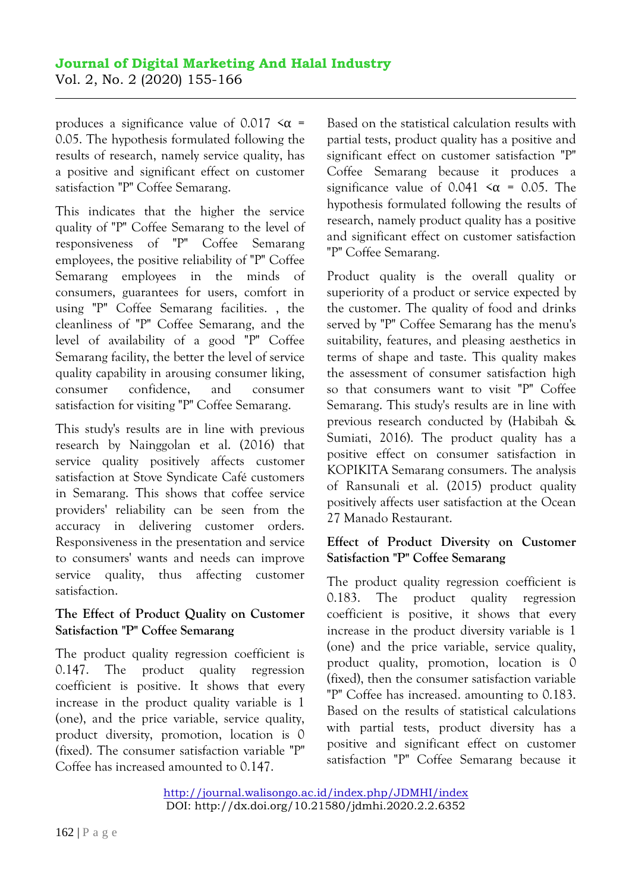produces a significance value of 0.017  $\leq \alpha$  = 0.05. The hypothesis formulated following the results of research, namely service quality, has a positive and significant effect on customer satisfaction "P" Coffee Semarang.

This indicates that the higher the service quality of "P" Coffee Semarang to the level of responsiveness of "P" Coffee Semarang employees, the positive reliability of "P" Coffee Semarang employees in the minds of consumers, guarantees for users, comfort in using "P" Coffee Semarang facilities. , the cleanliness of "P" Coffee Semarang, and the level of availability of a good "P" Coffee Semarang facility, the better the level of service quality capability in arousing consumer liking, consumer confidence, and consumer satisfaction for visiting "P" Coffee Semarang.

This study's results are in line with previous research by Nainggolan et al. (2016) that service quality positively affects customer satisfaction at Stove Syndicate Café customers in Semarang. This shows that coffee service providers' reliability can be seen from the accuracy in delivering customer orders. Responsiveness in the presentation and service to consumers' wants and needs can improve service quality, thus affecting customer satisfaction.

#### **The Effect of Product Quality on Customer Satisfaction "P" Coffee Semarang**

The product quality regression coefficient is 0.147. The product quality regression coefficient is positive. It shows that every increase in the product quality variable is 1 (one), and the price variable, service quality, product diversity, promotion, location is 0 (fixed). The consumer satisfaction variable "P" Coffee has increased amounted to 0.147.

Based on the statistical calculation results with partial tests, product quality has a positive and significant effect on customer satisfaction "P" Coffee Semarang because it produces a significance value of 0.041  $\leq \alpha$  = 0.05. The hypothesis formulated following the results of research, namely product quality has a positive and significant effect on customer satisfaction "P" Coffee Semarang.

Product quality is the overall quality or superiority of a product or service expected by the customer. The quality of food and drinks served by "P" Coffee Semarang has the menu's suitability, features, and pleasing aesthetics in terms of shape and taste. This quality makes the assessment of consumer satisfaction high so that consumers want to visit "P" Coffee Semarang. This study's results are in line with previous research conducted by (Habibah & Sumiati, 2016). The product quality has a positive effect on consumer satisfaction in KOPIKITA Semarang consumers. The analysis of Ransunali et al. (2015) product quality positively affects user satisfaction at the Ocean 27 Manado Restaurant.

### **Effect of Product Diversity on Customer Satisfaction "P" Coffee Semarang**

The product quality regression coefficient is 0.183. The product quality regression coefficient is positive, it shows that every increase in the product diversity variable is 1 (one) and the price variable, service quality, product quality, promotion, location is 0 (fixed), then the consumer satisfaction variable "P" Coffee has increased. amounting to 0.183. Based on the results of statistical calculations with partial tests, product diversity has a positive and significant effect on customer satisfaction "P" Coffee Semarang because it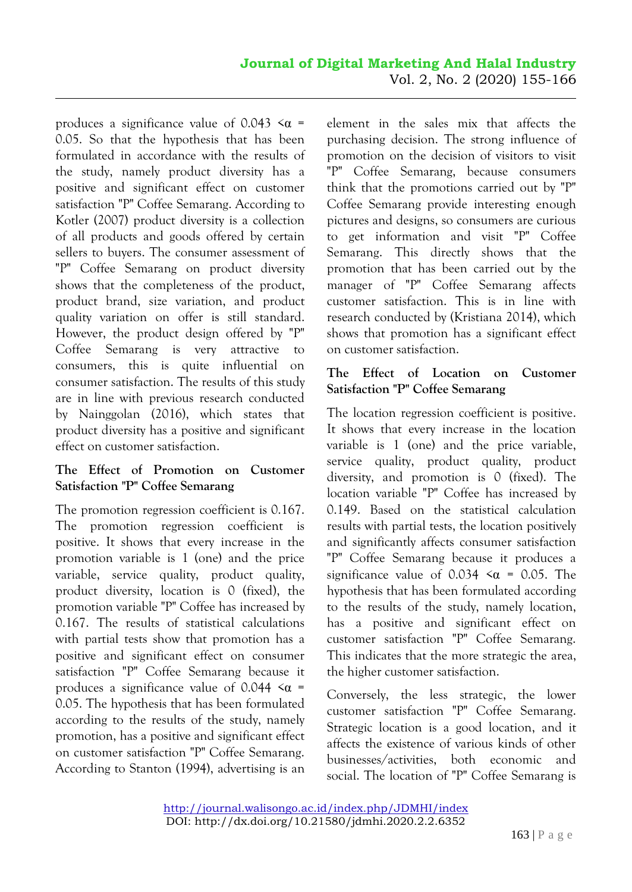produces a significance value of 0.043  $\leq \alpha$  = 0.05. So that the hypothesis that has been formulated in accordance with the results of the study, namely product diversity has a positive and significant effect on customer satisfaction "P" Coffee Semarang. According to Kotler (2007) product diversity is a collection of all products and goods offered by certain sellers to buyers. The consumer assessment of "P" Coffee Semarang on product diversity shows that the completeness of the product, product brand, size variation, and product quality variation on offer is still standard. However, the product design offered by "P" Coffee Semarang is very attractive to consumers, this is quite influential on consumer satisfaction. The results of this study are in line with previous research conducted by Nainggolan (2016), which states that product diversity has a positive and significant effect on customer satisfaction.

### **The Effect of Promotion on Customer Satisfaction "P" Coffee Semarang**

The promotion regression coefficient is 0.167. The promotion regression coefficient is positive. It shows that every increase in the promotion variable is 1 (one) and the price variable, service quality, product quality, product diversity, location is 0 (fixed), the promotion variable "P" Coffee has increased by 0.167. The results of statistical calculations with partial tests show that promotion has a positive and significant effect on consumer satisfaction "P" Coffee Semarang because it produces a significance value of 0.044  $\leq \alpha$  = 0.05. The hypothesis that has been formulated according to the results of the study, namely promotion, has a positive and significant effect on customer satisfaction "P" Coffee Semarang. According to Stanton (1994), advertising is an

element in the sales mix that affects the purchasing decision. The strong influence of promotion on the decision of visitors to visit "P" Coffee Semarang, because consumers think that the promotions carried out by "P" Coffee Semarang provide interesting enough pictures and designs, so consumers are curious to get information and visit "P" Coffee Semarang. This directly shows that the promotion that has been carried out by the manager of "P" Coffee Semarang affects customer satisfaction. This is in line with research conducted by (Kristiana 2014), which shows that promotion has a significant effect on customer satisfaction.

### **The Effect of Location on Customer Satisfaction "P" Coffee Semarang**

The location regression coefficient is positive. It shows that every increase in the location variable is 1 (one) and the price variable, service quality, product quality, product diversity, and promotion is 0 (fixed). The location variable "P" Coffee has increased by 0.149. Based on the statistical calculation results with partial tests, the location positively and significantly affects consumer satisfaction "P" Coffee Semarang because it produces a significance value of 0.034  $\leq \alpha$  = 0.05. The hypothesis that has been formulated according to the results of the study, namely location, has a positive and significant effect on customer satisfaction "P" Coffee Semarang. This indicates that the more strategic the area, the higher customer satisfaction.

Conversely, the less strategic, the lower customer satisfaction "P" Coffee Semarang. Strategic location is a good location, and it affects the existence of various kinds of other businesses/activities, both economic and social. The location of "P" Coffee Semarang is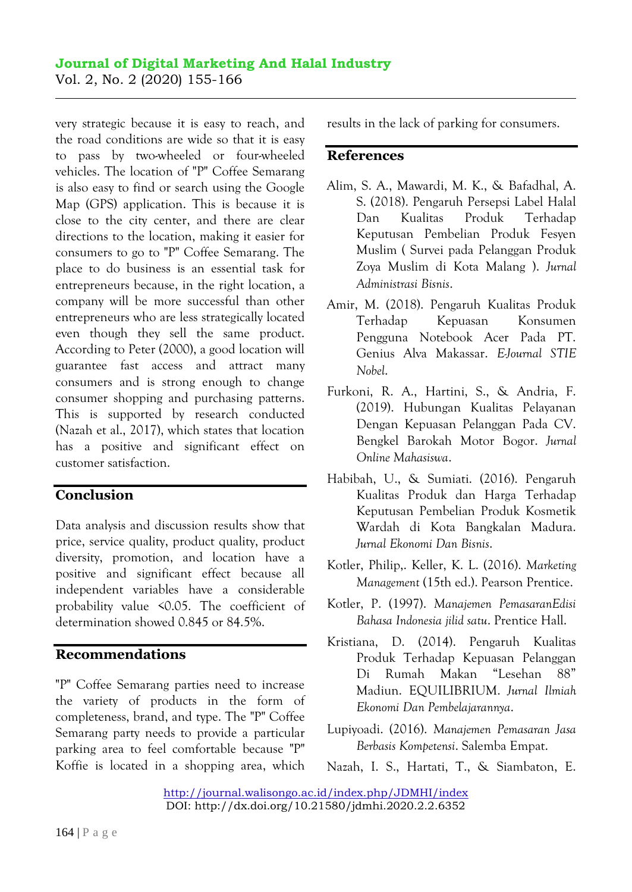very strategic because it is easy to reach, and the road conditions are wide so that it is easy to pass by two-wheeled or four-wheeled vehicles. The location of "P" Coffee Semarang is also easy to find or search using the Google Map (GPS) application. This is because it is close to the city center, and there are clear directions to the location, making it easier for consumers to go to "P" Coffee Semarang. The place to do business is an essential task for entrepreneurs because, in the right location, a company will be more successful than other entrepreneurs who are less strategically located even though they sell the same product. According to Peter (2000), a good location will guarantee fast access and attract many consumers and is strong enough to change consumer shopping and purchasing patterns. This is supported by research conducted (Nazah et al., 2017), which states that location has a positive and significant effect on customer satisfaction.

## **Conclusion**

Data analysis and discussion results show that price, service quality, product quality, product diversity, promotion, and location have a positive and significant effect because all independent variables have a considerable probability value <0.05. The coefficient of determination showed 0.845 or 84.5%.

### **Recommendations**

"P" Coffee Semarang parties need to increase the variety of products in the form of completeness, brand, and type. The "P" Coffee Semarang party needs to provide a particular parking area to feel comfortable because "P" Koffie is located in a shopping area, which results in the lack of parking for consumers.

#### **References**

- Alim, S. A., Mawardi, M. K., & Bafadhal, A. S. (2018). Pengaruh Persepsi Label Halal Dan Kualitas Produk Terhadap Keputusan Pembelian Produk Fesyen Muslim ( Survei pada Pelanggan Produk Zoya Muslim di Kota Malang ). *Jurnal Administrasi Bisnis*.
- Amir, M. (2018). Pengaruh Kualitas Produk Terhadap Kepuasan Konsumen Pengguna Notebook Acer Pada PT. Genius Alva Makassar. *E-Journal STIE Nobel*.
- Furkoni, R. A., Hartini, S., & Andria, F. (2019). Hubungan Kualitas Pelayanan Dengan Kepuasan Pelanggan Pada CV. Bengkel Barokah Motor Bogor. *Jurnal Online Mahasiswa*.
- Habibah, U., & Sumiati. (2016). Pengaruh Kualitas Produk dan Harga Terhadap Keputusan Pembelian Produk Kosmetik Wardah di Kota Bangkalan Madura. *Jurnal Ekonomi Dan Bisnis*.
- Kotler, Philip,. Keller, K. L. (2016). *Marketing Management* (15th ed.). Pearson Prentice.
- Kotler, P. (1997). *Manajemen PemasaranEdisi Bahasa Indonesia jilid satu*. Prentice Hall.
- Kristiana, D. (2014). Pengaruh Kualitas Produk Terhadap Kepuasan Pelanggan Di Rumah Makan "Lesehan 88" Madiun. EQUILIBRIUM. *Jurnal Ilmiah Ekonomi Dan Pembelajarannya*.
- Lupiyoadi. (2016). *Manajemen Pemasaran Jasa Berbasis Kompetensi*. Salemba Empat.
- Nazah, I. S., Hartati, T., & Siambaton, E.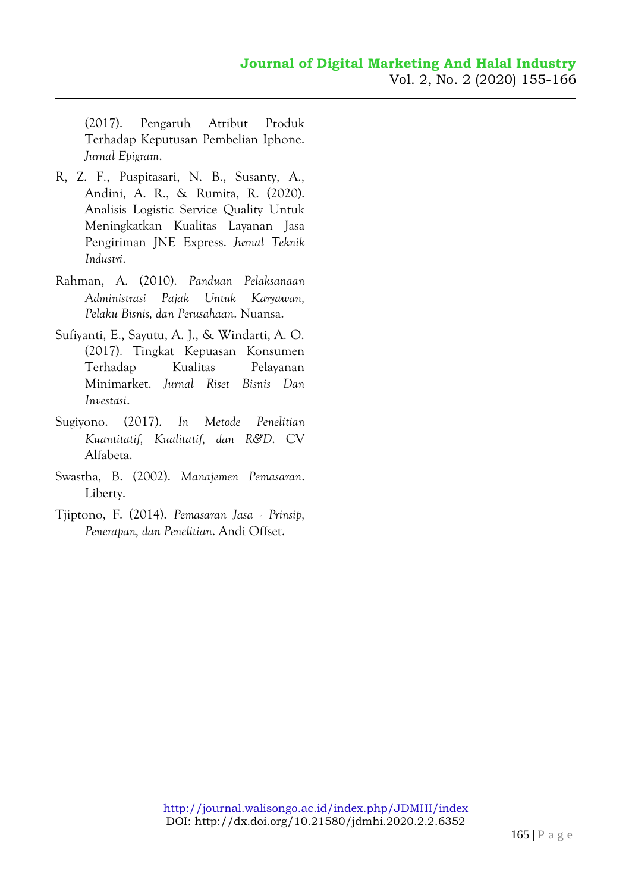(2017). Pengaruh Atribut Produk Terhadap Keputusan Pembelian Iphone. *Jurnal Epigram*.

- R, Z. F., Puspitasari, N. B., Susanty, A., Andini, A. R., & Rumita, R. (2020). Analisis Logistic Service Quality Untuk Meningkatkan Kualitas Layanan Jasa Pengiriman JNE Express. *Jurnal Teknik Industri*.
- Rahman, A. (2010). *Panduan Pelaksanaan Administrasi Pajak Untuk Karyawan, Pelaku Bisnis, dan Perusahaan*. Nuansa.
- Sufiyanti, E., Sayutu, A. J., & Windarti, A. O. (2017). Tingkat Kepuasan Konsumen Terhadap Kualitas Pelayanan Minimarket. *Jurnal Riset Bisnis Dan Investasi*.
- Sugiyono. (2017). *In Metode Penelitian Kuantitatif, Kualitatif, dan R&D*. CV Alfabeta.
- Swastha, B. (2002). *Manajemen Pemasaran*. Liberty.
- Tjiptono, F. (2014). *Pemasaran Jasa - Prinsip, Penerapan, dan Penelitian*. Andi Offset.